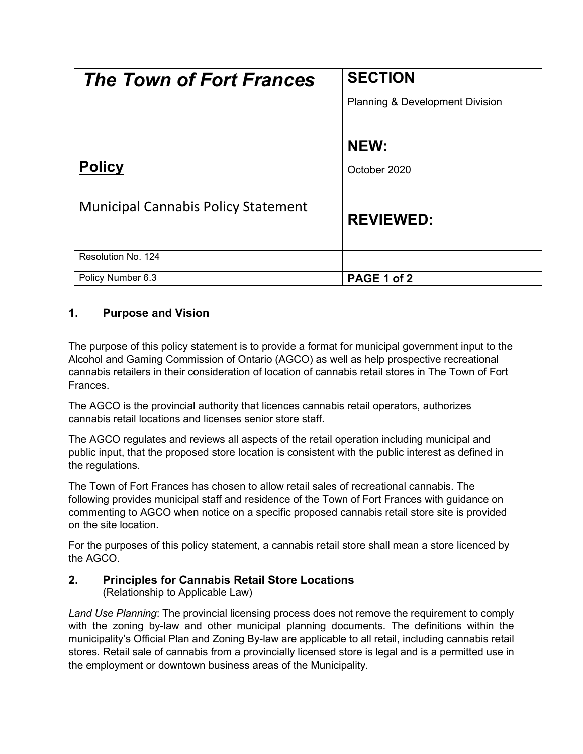| <b>The Town of Fort Frances</b>            | <b>SECTION</b>                  |
|--------------------------------------------|---------------------------------|
|                                            | Planning & Development Division |
|                                            |                                 |
|                                            | NEW:                            |
| <b>Policy</b>                              | October 2020                    |
|                                            |                                 |
| <b>Municipal Cannabis Policy Statement</b> | <b>REVIEWED:</b>                |
|                                            |                                 |
| Resolution No. 124                         |                                 |
| Policy Number 6.3                          | PAGE 1 of 2                     |

## **1. Purpose and Vision**

The purpose of this policy statement is to provide a format for municipal government input to the Alcohol and Gaming Commission of Ontario (AGCO) as well as help prospective recreational cannabis retailers in their consideration of location of cannabis retail stores in The Town of Fort Frances.

The AGCO is the provincial authority that licences cannabis retail operators, authorizes cannabis retail locations and licenses senior store staff.

The AGCO regulates and reviews all aspects of the retail operation including municipal and public input, that the proposed store location is consistent with the public interest as defined in the regulations.

The Town of Fort Frances has chosen to allow retail sales of recreational cannabis. The following provides municipal staff and residence of the Town of Fort Frances with guidance on commenting to AGCO when notice on a specific proposed cannabis retail store site is provided on the site location.

For the purposes of this policy statement, a cannabis retail store shall mean a store licenced by the AGCO.

## **2. Principles for Cannabis Retail Store Locations**

(Relationship to Applicable Law)

*Land Use Planning*: The provincial licensing process does not remove the requirement to comply with the zoning by-law and other municipal planning documents. The definitions within the municipality's Official Plan and Zoning By-law are applicable to all retail, including cannabis retail stores. Retail sale of cannabis from a provincially licensed store is legal and is a permitted use in the employment or downtown business areas of the Municipality.